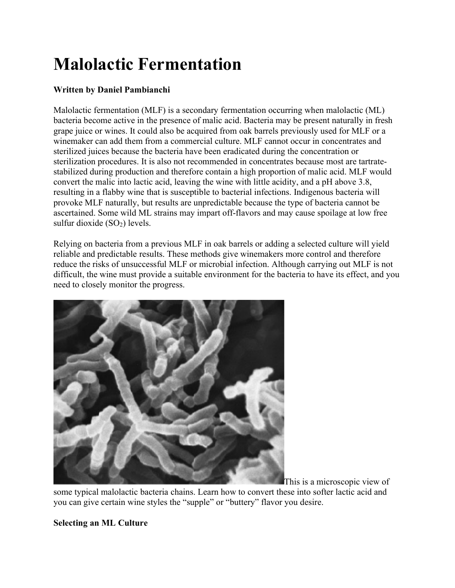# Malolactic Fermentation

# Written by Daniel Pambianchi

Malolactic fermentation (MLF) is a secondary fermentation occurring when malolactic (ML) bacteria become active in the presence of malic acid. Bacteria may be present naturally in fresh grape juice or wines. It could also be acquired from oak barrels previously used for MLF or a winemaker can add them from a commercial culture. MLF cannot occur in concentrates and sterilized juices because the bacteria have been eradicated during the concentration or sterilization procedures. It is also not recommended in concentrates because most are tartratestabilized during production and therefore contain a high proportion of malic acid. MLF would convert the malic into lactic acid, leaving the wine with little acidity, and a pH above 3.8, resulting in a flabby wine that is susceptible to bacterial infections. Indigenous bacteria will provoke MLF naturally, but results are unpredictable because the type of bacteria cannot be ascertained. Some wild ML strains may impart off-flavors and may cause spoilage at low free sulfur dioxide  $(SO<sub>2</sub>)$  levels.

Relying on bacteria from a previous MLF in oak barrels or adding a selected culture will yield reliable and predictable results. These methods give winemakers more control and therefore reduce the risks of unsuccessful MLF or microbial infection. Although carrying out MLF is not difficult, the wine must provide a suitable environment for the bacteria to have its effect, and you need to closely monitor the progress.



This is a microscopic view of some typical malolactic bacteria chains. Learn how to convert these into softer lactic acid and you can give certain wine styles the "supple" or "buttery" flavor you desire.

#### Selecting an ML Culture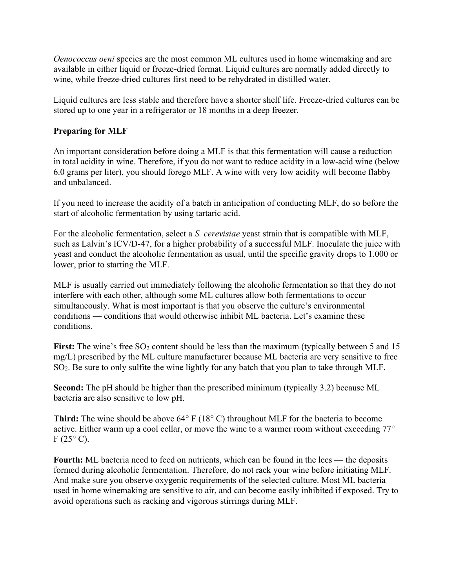Oenococcus oeni species are the most common ML cultures used in home winemaking and are available in either liquid or freeze-dried format. Liquid cultures are normally added directly to wine, while freeze-dried cultures first need to be rehydrated in distilled water.

Liquid cultures are less stable and therefore have a shorter shelf life. Freeze-dried cultures can be stored up to one year in a refrigerator or 18 months in a deep freezer.

### Preparing for MLF

An important consideration before doing a MLF is that this fermentation will cause a reduction in total acidity in wine. Therefore, if you do not want to reduce acidity in a low-acid wine (below 6.0 grams per liter), you should forego MLF. A wine with very low acidity will become flabby and unbalanced.

If you need to increase the acidity of a batch in anticipation of conducting MLF, do so before the start of alcoholic fermentation by using tartaric acid.

For the alcoholic fermentation, select a S. cerevisiae yeast strain that is compatible with MLF, such as Lalvin's ICV/D-47, for a higher probability of a successful MLF. Inoculate the juice with yeast and conduct the alcoholic fermentation as usual, until the specific gravity drops to 1.000 or lower, prior to starting the MLF.

MLF is usually carried out immediately following the alcoholic fermentation so that they do not interfere with each other, although some ML cultures allow both fermentations to occur simultaneously. What is most important is that you observe the culture's environmental conditions — conditions that would otherwise inhibit ML bacteria. Let's examine these conditions.

First: The wine's free  $SO_2$  content should be less than the maximum (typically between 5 and 15 mg/L) prescribed by the ML culture manufacturer because ML bacteria are very sensitive to free SO2. Be sure to only sulfite the wine lightly for any batch that you plan to take through MLF.

Second: The pH should be higher than the prescribed minimum (typically 3.2) because ML bacteria are also sensitive to low pH.

Third: The wine should be above 64° F (18° C) throughout MLF for the bacteria to become active. Either warm up a cool cellar, or move the wine to a warmer room without exceeding 77°  $F(25^{\circ} C)$ .

Fourth: ML bacteria need to feed on nutrients, which can be found in the lees — the deposits formed during alcoholic fermentation. Therefore, do not rack your wine before initiating MLF. And make sure you observe oxygenic requirements of the selected culture. Most ML bacteria used in home winemaking are sensitive to air, and can become easily inhibited if exposed. Try to avoid operations such as racking and vigorous stirrings during MLF.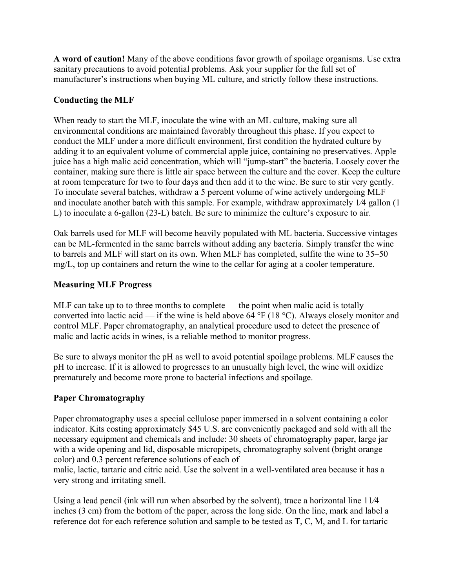A word of caution! Many of the above conditions favor growth of spoilage organisms. Use extra sanitary precautions to avoid potential problems. Ask your supplier for the full set of manufacturer's instructions when buying ML culture, and strictly follow these instructions.

# Conducting the MLF

When ready to start the MLF, inoculate the wine with an ML culture, making sure all environmental conditions are maintained favorably throughout this phase. If you expect to conduct the MLF under a more difficult environment, first condition the hydrated culture by adding it to an equivalent volume of commercial apple juice, containing no preservatives. Apple juice has a high malic acid concentration, which will "jump-start" the bacteria. Loosely cover the container, making sure there is little air space between the culture and the cover. Keep the culture at room temperature for two to four days and then add it to the wine. Be sure to stir very gently. To inoculate several batches, withdraw a 5 percent volume of wine actively undergoing MLF and inoculate another batch with this sample. For example, withdraw approximately  $1/4$  gallon  $(1)$ L) to inoculate a 6-gallon (23-L) batch. Be sure to minimize the culture's exposure to air.

Oak barrels used for MLF will become heavily populated with ML bacteria. Successive vintages can be ML-fermented in the same barrels without adding any bacteria. Simply transfer the wine to barrels and MLF will start on its own. When MLF has completed, sulfite the wine to 35–50 mg/L, top up containers and return the wine to the cellar for aging at a cooler temperature.

# Measuring MLF Progress

MLF can take up to to three months to complete — the point when malic acid is totally converted into lactic acid — if the wine is held above  $64^{\circ}F(18^{\circ}C)$ . Always closely monitor and control MLF. Paper chromatography, an analytical procedure used to detect the presence of malic and lactic acids in wines, is a reliable method to monitor progress.

Be sure to always monitor the pH as well to avoid potential spoilage problems. MLF causes the pH to increase. If it is allowed to progresses to an unusually high level, the wine will oxidize prematurely and become more prone to bacterial infections and spoilage.

#### Paper Chromatography

Paper chromatography uses a special cellulose paper immersed in a solvent containing a color indicator. Kits costing approximately \$45 U.S. are conveniently packaged and sold with all the necessary equipment and chemicals and include: 30 sheets of chromatography paper, large jar with a wide opening and lid, disposable micropipets, chromatography solvent (bright orange color) and 0.3 percent reference solutions of each of

malic, lactic, tartaric and citric acid. Use the solvent in a well-ventilated area because it has a very strong and irritating smell.

Using a lead pencil (ink will run when absorbed by the solvent), trace a horizontal line  $11/4$ inches (3 cm) from the bottom of the paper, across the long side. On the line, mark and label a reference dot for each reference solution and sample to be tested as T, C, M, and L for tartaric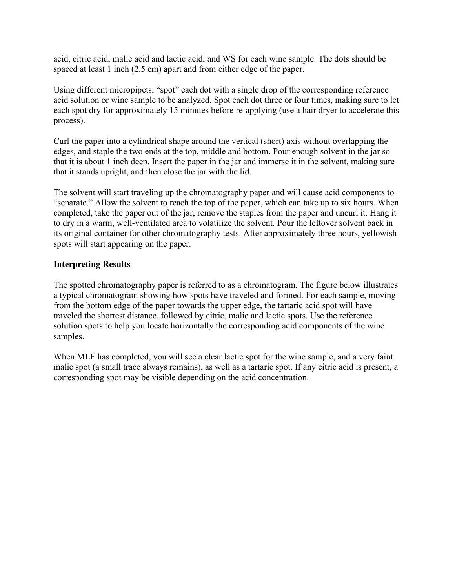acid, citric acid, malic acid and lactic acid, and WS for each wine sample. The dots should be spaced at least 1 inch (2.5 cm) apart and from either edge of the paper.

Using different micropipets, "spot" each dot with a single drop of the corresponding reference acid solution or wine sample to be analyzed. Spot each dot three or four times, making sure to let each spot dry for approximately 15 minutes before re-applying (use a hair dryer to accelerate this process).

Curl the paper into a cylindrical shape around the vertical (short) axis without overlapping the edges, and staple the two ends at the top, middle and bottom. Pour enough solvent in the jar so that it is about 1 inch deep. Insert the paper in the jar and immerse it in the solvent, making sure that it stands upright, and then close the jar with the lid.

The solvent will start traveling up the chromatography paper and will cause acid components to "separate." Allow the solvent to reach the top of the paper, which can take up to six hours. When completed, take the paper out of the jar, remove the staples from the paper and uncurl it. Hang it to dry in a warm, well-ventilated area to volatilize the solvent. Pour the leftover solvent back in its original container for other chromatography tests. After approximately three hours, yellowish spots will start appearing on the paper.

#### Interpreting Results

The spotted chromatography paper is referred to as a chromatogram. The figure below illustrates a typical chromatogram showing how spots have traveled and formed. For each sample, moving from the bottom edge of the paper towards the upper edge, the tartaric acid spot will have traveled the shortest distance, followed by citric, malic and lactic spots. Use the reference solution spots to help you locate horizontally the corresponding acid components of the wine samples.

When MLF has completed, you will see a clear lactic spot for the wine sample, and a very faint malic spot (a small trace always remains), as well as a tartaric spot. If any citric acid is present, a corresponding spot may be visible depending on the acid concentration.